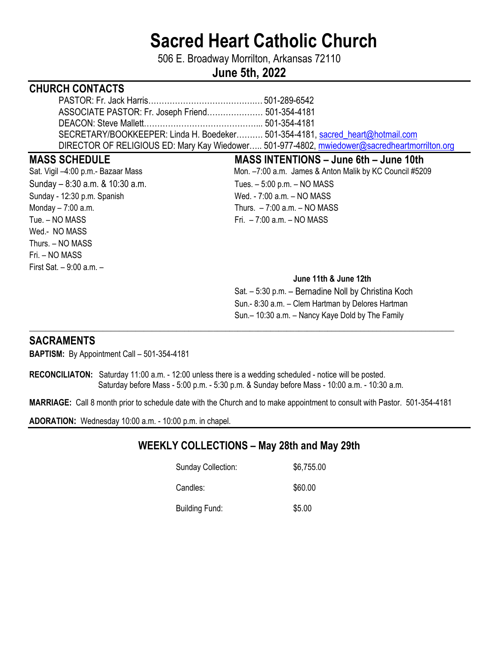# **Sacred Heart Catholic Church**

506 E. Broadway Morrilton, Arkansas 72110

# **June 5th, 2022**

# **CHURCH CONTACTS**

| SECRETARY/BOOKKEEPER: Linda H. Boedeker 501-354-4181, sacred heart@hotmail.com               |  |
|----------------------------------------------------------------------------------------------|--|
| DIRECTOR OF RELIGIOUS ED: Mary Kay Wiedower 501-977-4802, mwiedower@sacredheartmorrilton.org |  |

Sunday – 8:30 a.m. & 10:30 a.m. Tues. – 5:00 p.m. – NO MASS Sunday - 12:30 p.m. Spanish Wed. - 7:00 a.m. - NO MASS Monday – 7:00 a.m. Thurs. – 7:00 a.m. – NO MASS Tue. – NO MASS Fri. – 7:00 a.m. – NO MASS Wed.- NO MASS Thurs. – NO MASS Fri. – NO MASS First Sat. – 9:00 a.m. –

**MASS SCHEDULE MASS INTENTIONS – June 6th – June 10th**  Sat. Vigil –4:00 p.m.- Bazaar Mass Mon. –7:00 a.m. James & Anton Malik by KC Council #5209

#### **June 11th & June 12th**

 Sat. – 5:30 p.m. – Bernadine Noll by Christina Koch Sun.- 8:30 a.m. – Clem Hartman by Delores Hartman Sun.– 10:30 a.m. – Nancy Kaye Dold by The Family

## **SACRAMENTS**

**BAPTISM:** By Appointment Call – 501-354-4181

**RECONCILIATON:** Saturday 11:00 a.m. - 12:00 unless there is a wedding scheduled - notice will be posted. Saturday before Mass - 5:00 p.m. - 5:30 p.m. & Sunday before Mass - 10:00 a.m. - 10:30 a.m.

**MARRIAGE:** Call 8 month prior to schedule date with the Church and to make appointment to consult with Pastor. 501-354-4181

\_\_\_\_**\_\_\_\_\_\_\_\_\_\_\_\_\_\_\_\_\_\_\_\_\_\_\_\_\_\_\_\_\_\_\_\_\_\_\_\_\_\_\_\_\_\_\_\_\_\_\_\_\_\_\_\_\_\_\_\_\_\_\_\_\_\_\_\_\_\_\_\_\_\_\_\_\_\_\_\_\_\_\_\_\_\_\_\_\_\_\_\_\_\_\_\_\_\_\_\_\_\_\_\_** 

**ADORATION:** Wednesday 10:00 a.m. - 10:00 p.m. in chapel.

# **WEEKLY COLLECTIONS – May 28th and May 29th**

| <b>Sunday Collection:</b> | \$6,755.00 |
|---------------------------|------------|
| Candles:                  | \$60.00    |
| Building Fund:            | \$5.00     |